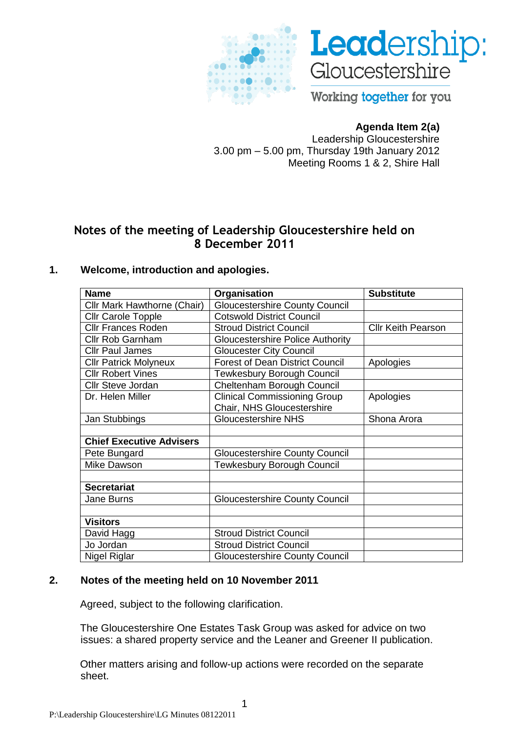



Working together for you

# **Agenda Item 2(a)**

Leadership Gloucestershire 3.00 pm – 5.00 pm, Thursday 19th January 2012 Meeting Rooms 1 & 2, Shire Hall

# **Notes of the meeting of Leadership Gloucestershire held on 8 December 2011**

# **1. Welcome, introduction and apologies.**

| <b>Name</b>                     | Organisation                            | <b>Substitute</b>         |
|---------------------------------|-----------------------------------------|---------------------------|
| Cllr Mark Hawthorne (Chair)     | <b>Gloucestershire County Council</b>   |                           |
| <b>Cllr Carole Topple</b>       | <b>Cotswold District Council</b>        |                           |
| <b>Cllr Frances Roden</b>       | <b>Stroud District Council</b>          | <b>CIIr Keith Pearson</b> |
| <b>Cllr Rob Garnham</b>         | <b>Gloucestershire Police Authority</b> |                           |
| <b>Cllr Paul James</b>          | <b>Gloucester City Council</b>          |                           |
| <b>Cllr Patrick Molyneux</b>    | <b>Forest of Dean District Council</b>  | Apologies                 |
| <b>CIIr Robert Vines</b>        | <b>Tewkesbury Borough Council</b>       |                           |
| Cllr Steve Jordan               | Cheltenham Borough Council              |                           |
| Dr. Helen Miller                | <b>Clinical Commissioning Group</b>     | Apologies                 |
|                                 | Chair, NHS Gloucestershire              |                           |
| Jan Stubbings                   | <b>Gloucestershire NHS</b>              | Shona Arora               |
|                                 |                                         |                           |
| <b>Chief Executive Advisers</b> |                                         |                           |
| Pete Bungard                    | <b>Gloucestershire County Council</b>   |                           |
| <b>Mike Dawson</b>              | <b>Tewkesbury Borough Council</b>       |                           |
|                                 |                                         |                           |
| <b>Secretariat</b>              |                                         |                           |
| Jane Burns                      | <b>Gloucestershire County Council</b>   |                           |
|                                 |                                         |                           |
| <b>Visitors</b>                 |                                         |                           |
| David Hagg                      | <b>Stroud District Council</b>          |                           |
| Jo Jordan                       | <b>Stroud District Council</b>          |                           |
| Nigel Riglar                    | <b>Gloucestershire County Council</b>   |                           |

#### **2. Notes of the meeting held on 10 November 2011**

Agreed, subject to the following clarification.

The Gloucestershire One Estates Task Group was asked for advice on two issues: a shared property service and the Leaner and Greener II publication.

Other matters arising and follow-up actions were recorded on the separate sheet.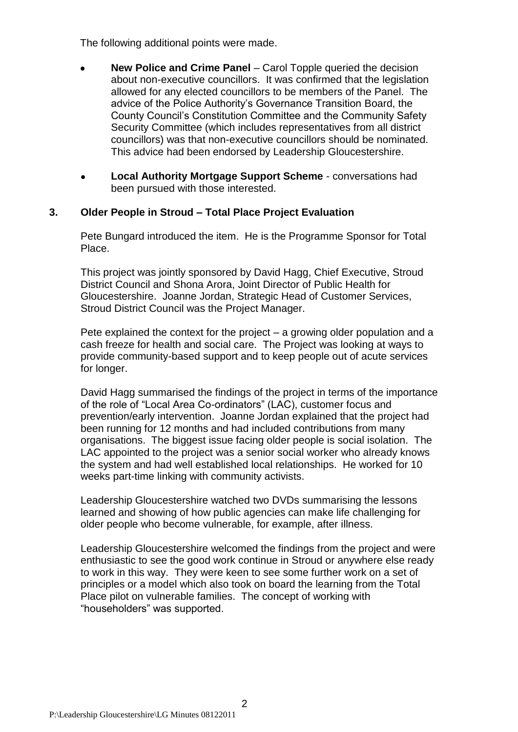The following additional points were made.

- **New Police and Crime Panel** Carol Topple queried the decision  $\bullet$ about non-executive councillors. It was confirmed that the legislation allowed for any elected councillors to be members of the Panel. The advice of the Police Authority"s Governance Transition Board, the County Council"s Constitution Committee and the Community Safety Security Committee (which includes representatives from all district councillors) was that non-executive councillors should be nominated. This advice had been endorsed by Leadership Gloucestershire.
- **Local Authority Mortgage Support Scheme**  conversations had been pursued with those interested.

## **3. Older People in Stroud – Total Place Project Evaluation**

Pete Bungard introduced the item. He is the Programme Sponsor for Total Place.

This project was jointly sponsored by David Hagg, Chief Executive, Stroud District Council and Shona Arora, Joint Director of Public Health for Gloucestershire. Joanne Jordan, Strategic Head of Customer Services, Stroud District Council was the Project Manager.

Pete explained the context for the project – a growing older population and a cash freeze for health and social care. The Project was looking at ways to provide community-based support and to keep people out of acute services for longer.

David Hagg summarised the findings of the project in terms of the importance of the role of "Local Area Co-ordinators" (LAC), customer focus and prevention/early intervention. Joanne Jordan explained that the project had been running for 12 months and had included contributions from many organisations. The biggest issue facing older people is social isolation. The LAC appointed to the project was a senior social worker who already knows the system and had well established local relationships. He worked for 10 weeks part-time linking with community activists.

Leadership Gloucestershire watched two DVDs summarising the lessons learned and showing of how public agencies can make life challenging for older people who become vulnerable, for example, after illness.

Leadership Gloucestershire welcomed the findings from the project and were enthusiastic to see the good work continue in Stroud or anywhere else ready to work in this way. They were keen to see some further work on a set of principles or a model which also took on board the learning from the Total Place pilot on vulnerable families. The concept of working with "householders" was supported.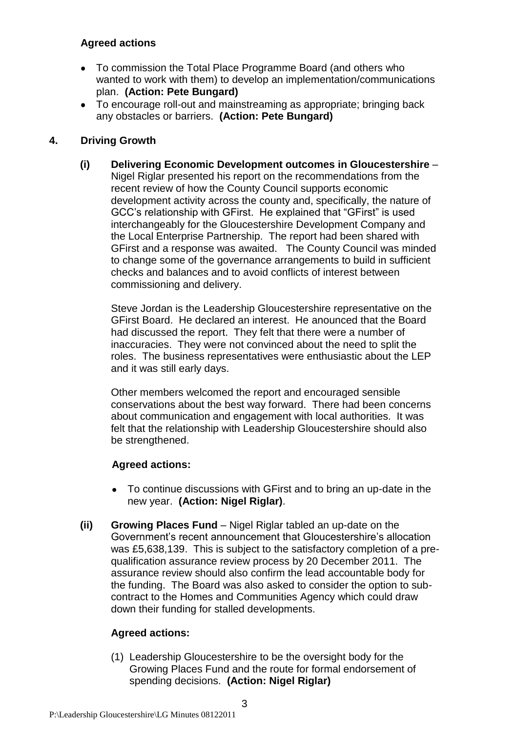# **Agreed actions**

- To commission the Total Place Programme Board (and others who wanted to work with them) to develop an implementation/communications plan. **(Action: Pete Bungard)**
- To encourage roll-out and mainstreaming as appropriate; bringing back any obstacles or barriers. **(Action: Pete Bungard)**

# **4. Driving Growth**

**(i) Delivering Economic Development outcomes in Gloucestershire** – Nigel Riglar presented his report on the recommendations from the recent review of how the County Council supports economic development activity across the county and, specifically, the nature of GCC"s relationship with GFirst. He explained that "GFirst" is used interchangeably for the Gloucestershire Development Company and the Local Enterprise Partnership. The report had been shared with GFirst and a response was awaited. The County Council was minded to change some of the governance arrangements to build in sufficient checks and balances and to avoid conflicts of interest between commissioning and delivery.

Steve Jordan is the Leadership Gloucestershire representative on the GFirst Board. He declared an interest. He anounced that the Board had discussed the report. They felt that there were a number of inaccuracies. They were not convinced about the need to split the roles. The business representatives were enthusiastic about the LEP and it was still early days.

Other members welcomed the report and encouraged sensible conservations about the best way forward. There had been concerns about communication and engagement with local authorities. It was felt that the relationship with Leadership Gloucestershire should also be strengthened.

# **Agreed actions:**

- To continue discussions with GFirst and to bring an up-date in the new year. **(Action: Nigel Riglar)**.
- **(ii) Growing Places Fund** Nigel Riglar tabled an up-date on the Government"s recent announcement that Gloucestershire"s allocation was £5,638,139. This is subject to the satisfactory completion of a prequalification assurance review process by 20 December 2011. The assurance review should also confirm the lead accountable body for the funding. The Board was also asked to consider the option to subcontract to the Homes and Communities Agency which could draw down their funding for stalled developments.

# **Agreed actions:**

(1) Leadership Gloucestershire to be the oversight body for the Growing Places Fund and the route for formal endorsement of spending decisions. **(Action: Nigel Riglar)**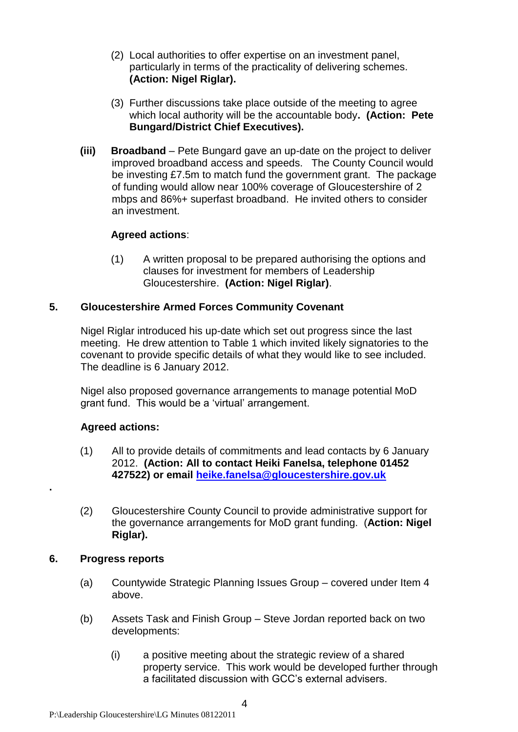- (2) Local authorities to offer expertise on an investment panel, particularly in terms of the practicality of delivering schemes. **(Action: Nigel Riglar).**
- (3) Further discussions take place outside of the meeting to agree which local authority will be the accountable body**. (Action: Pete Bungard/District Chief Executives).**
- **(iii) Broadband** Pete Bungard gave an up-date on the project to deliver improved broadband access and speeds. The County Council would be investing £7.5m to match fund the government grant. The package of funding would allow near 100% coverage of Gloucestershire of 2 mbps and 86%+ superfast broadband. He invited others to consider an investment.

## **Agreed actions**:

(1) A written proposal to be prepared authorising the options and clauses for investment for members of Leadership Gloucestershire. **(Action: Nigel Riglar)**.

## **5. Gloucestershire Armed Forces Community Covenant**

Nigel Riglar introduced his up-date which set out progress since the last meeting. He drew attention to Table 1 which invited likely signatories to the covenant to provide specific details of what they would like to see included. The deadline is 6 January 2012.

Nigel also proposed governance arrangements to manage potential MoD grant fund. This would be a "virtual" arrangement.

# **Agreed actions:**

- (1) All to provide details of commitments and lead contacts by 6 January 2012. **(Action: All to contact Heiki Fanelsa, telephone 01452 427522) or email [heike.fanelsa@gloucestershire.gov.uk](mailto:heike.fanelsa@gloucestershire.gov.uk)**
- (2) Gloucestershire County Council to provide administrative support for the governance arrangements for MoD grant funding. (**Action: Nigel Riglar).**

#### **6. Progress reports**

**.**

- (a) Countywide Strategic Planning Issues Group covered under Item 4 above.
- (b) Assets Task and Finish Group Steve Jordan reported back on two developments:
	- (i) a positive meeting about the strategic review of a shared property service. This work would be developed further through a facilitated discussion with GCC"s external advisers.